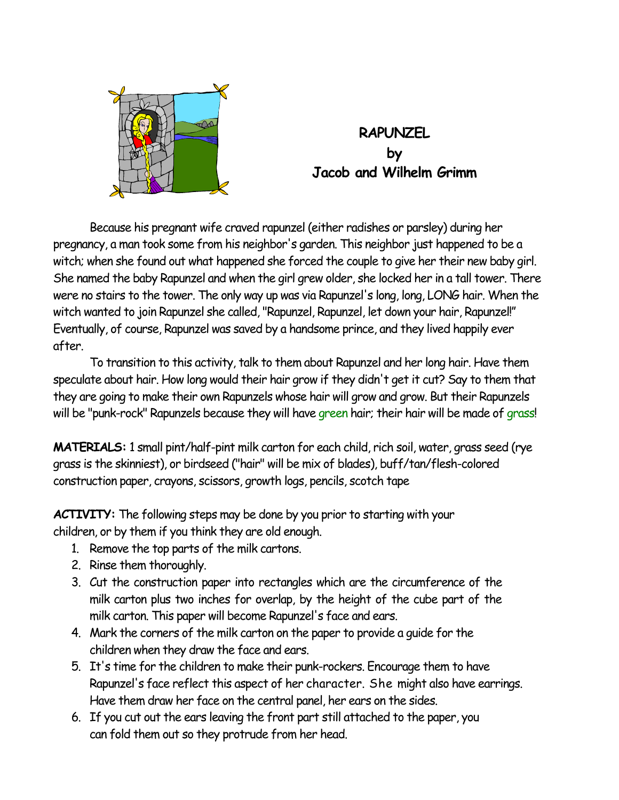

## **RAPUNZEL by Jacob and Wilhelm Grimm**

 Because his pregnant wife craved rapunzel (either radishes or parsley) during her pregnancy, a man took some from his neighbor's garden. This neighbor just happened to be a witch; when she found out what happened she forced the couple to give her their new baby girl. She named the baby Rapunzel and when the girl grew older, she locked her in a tall tower. There were no stairs to the tower. The only way up was via Rapunzel's long, long, LONG hair. When the witch wanted to join Rapunzel she called, "Rapunzel, Rapunzel, let down your hair, Rapunzel!" Eventually, of course, Rapunzel was saved by a handsome prince, and they lived happily ever after.

 To transition to this activity, talk to them about Rapunzel and her long hair. Have them speculate about hair. How long would their hair grow if they didn't get it cut? Say to them that they are going to make their own Rapunzels whose hair will grow and grow. But their Rapunzels will be "punk-rock" Rapunzels because they will have green hair; their hair will be made of grass!

**MATERIALS:** 1 small pint/half-pint milk carton for each child, rich soil, water, grass seed (rye grass is the skinniest), or birdseed ("hair" will be mix of blades), buff/tan/flesh-colored construction paper, crayons, scissors, growth logs, pencils, scotch tape

**ACTIVITY:** The following steps may be done by you prior to starting with your children, or by them if you think they are old enough.

- 1. Remove the top parts of the milk cartons.
- 2. Rinse them thoroughly.
- 3. Cut the construction paper into rectangles which are the circumference of the milk carton plus two inches for overlap, by the height of the cube part of the milk carton. This paper will become Rapunzel's face and ears.
- 4. Mark the corners of the milk carton on the paper to provide a guide for the children when they draw the face and ears.
- 5. It's time for the children to make their punk-rockers. Encourage them to have Rapunzel's face reflect this aspect of her character. She might also have earrings. Have them draw her face on the central panel, her ears on the sides.
- 6. If you cut out the ears leaving the front part still attached to the paper, you can fold them out so they protrude from her head.